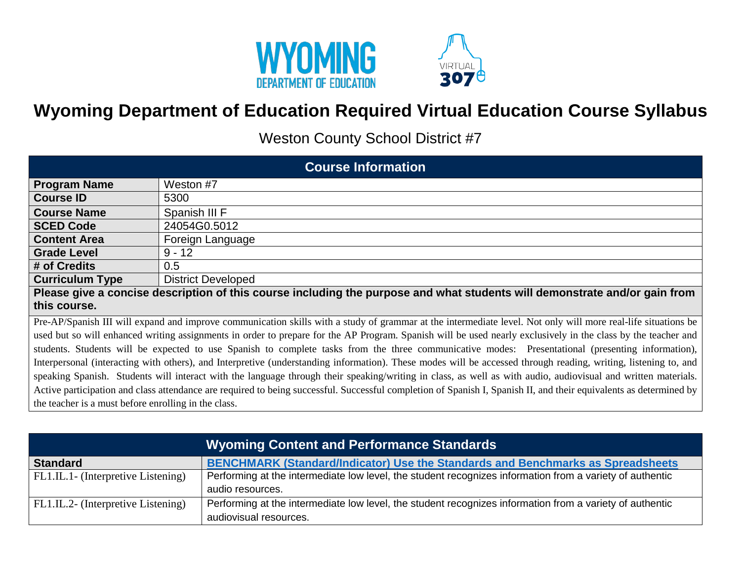

## **Wyoming Department of Education Required Virtual Education Course Syllabus**

VIRTUAL **2078** 

Weston County School District #7

| <b>Course Information</b>                                                                                                                                       |                                                                                                                                                                    |  |  |  |
|-----------------------------------------------------------------------------------------------------------------------------------------------------------------|--------------------------------------------------------------------------------------------------------------------------------------------------------------------|--|--|--|
| <b>Program Name</b>                                                                                                                                             | Weston #7                                                                                                                                                          |  |  |  |
| <b>Course ID</b>                                                                                                                                                | 5300                                                                                                                                                               |  |  |  |
| <b>Course Name</b>                                                                                                                                              | Spanish III F                                                                                                                                                      |  |  |  |
| <b>SCED Code</b>                                                                                                                                                | 24054G0.5012                                                                                                                                                       |  |  |  |
| <b>Content Area</b>                                                                                                                                             | Foreign Language                                                                                                                                                   |  |  |  |
| <b>Grade Level</b>                                                                                                                                              | $9 - 12$                                                                                                                                                           |  |  |  |
| # of Credits                                                                                                                                                    | 0.5                                                                                                                                                                |  |  |  |
| <b>Curriculum Type</b>                                                                                                                                          | <b>District Developed</b>                                                                                                                                          |  |  |  |
|                                                                                                                                                                 | Please give a concise description of this course including the purpose and what students will demonstrate and/or gain from                                         |  |  |  |
| this course.                                                                                                                                                    |                                                                                                                                                                    |  |  |  |
| Pre-AP/Spanish III will expand and improve communication skills with a study of grammar at the intermediate level. Not only will more real-life situations be   |                                                                                                                                                                    |  |  |  |
| used but so will enhanced writing assignments in order to prepare for the AP Program. Spanish will be used nearly exclusively in the class by the teacher and   |                                                                                                                                                                    |  |  |  |
| students. Students will be expected to use Spanish to complete tasks from the three communicative modes: Presentational (presenting information),               |                                                                                                                                                                    |  |  |  |
| Interpersonal (interacting with others), and Interpretive (understanding information). These modes will be accessed through reading, writing, listening to, and |                                                                                                                                                                    |  |  |  |
| speaking Spanish. Students will interact with the language through their speaking/writing in class, as well as with audio, audiovisual and written materials.   |                                                                                                                                                                    |  |  |  |
|                                                                                                                                                                 | Active participation and class attendance are required to being successful. Successful completion of Spanish I, Spanish II, and their equivalents as determined by |  |  |  |
| the teacher is a must before enrolling in the class.                                                                                                            |                                                                                                                                                                    |  |  |  |

| Wyoming Content and Performance Standards |                                                                                                          |  |  |
|-------------------------------------------|----------------------------------------------------------------------------------------------------------|--|--|
| <b>Standard</b>                           | <b>BENCHMARK (Standard/Indicator) Use the Standards and Benchmarks as Spreadsheets</b>                   |  |  |
| FL1.IL.1- (Interpretive Listening)        | Performing at the intermediate low level, the student recognizes information from a variety of authentic |  |  |
|                                           | audio resources.                                                                                         |  |  |
| FL1.IL.2- (Interpretive Listening)        | Performing at the intermediate low level, the student recognizes information from a variety of authentic |  |  |
|                                           | audiovisual resources.                                                                                   |  |  |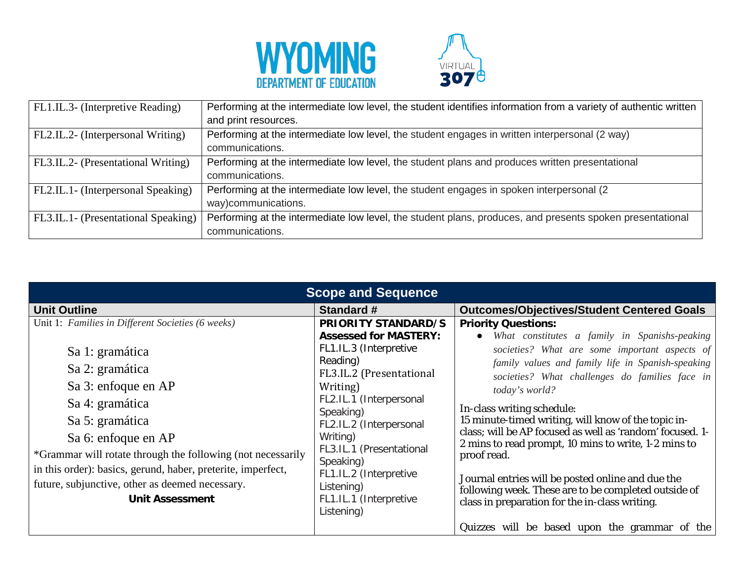



| FL1.IL.3- (Interpretive Reading)    | Performing at the intermediate low level, the student identifies information from a variety of authentic written |
|-------------------------------------|------------------------------------------------------------------------------------------------------------------|
|                                     | and print resources.                                                                                             |
| FL2.IL.2- (Interpersonal Writing)   | Performing at the intermediate low level, the student engages in written interpersonal (2 way)                   |
|                                     | communications.                                                                                                  |
| FL3.IL.2- (Presentational Writing)  | Performing at the intermediate low level, the student plans and produces written presentational                  |
|                                     | communications.                                                                                                  |
| FL2.IL.1- (Interpersonal Speaking)  | Performing at the intermediate low level, the student engages in spoken interpersonal (2)                        |
|                                     | way)communications.                                                                                              |
| FL3.IL.1- (Presentational Speaking) | Performing at the intermediate low level, the student plans, produces, and presents spoken presentational        |
|                                     | communications.                                                                                                  |

| <b>Scope and Sequence</b>                                                                                                                                                                                                                                                                                                                                                               |                                                                                                                                                                                                                                                                                                                                                  |                                                                                                                                                                                                                                                                                                                                                                                                                                                                                                                                                                                                                                                            |  |  |
|-----------------------------------------------------------------------------------------------------------------------------------------------------------------------------------------------------------------------------------------------------------------------------------------------------------------------------------------------------------------------------------------|--------------------------------------------------------------------------------------------------------------------------------------------------------------------------------------------------------------------------------------------------------------------------------------------------------------------------------------------------|------------------------------------------------------------------------------------------------------------------------------------------------------------------------------------------------------------------------------------------------------------------------------------------------------------------------------------------------------------------------------------------------------------------------------------------------------------------------------------------------------------------------------------------------------------------------------------------------------------------------------------------------------------|--|--|
| <b>Unit Outline</b>                                                                                                                                                                                                                                                                                                                                                                     | <b>Standard #</b>                                                                                                                                                                                                                                                                                                                                | <b>Outcomes/Objectives/Student Centered Goals</b>                                                                                                                                                                                                                                                                                                                                                                                                                                                                                                                                                                                                          |  |  |
| Unit 1: Families in Different Societies (6 weeks)<br>Sa 1: gramática<br>Sa 2: gramática<br>Sa 3: enfoque en AP<br>Sa 4: gramática<br>Sa 5: gramática<br>Sa 6: enfoque en AP<br>*Grammar will rotate through the following (not necessarily<br>in this order): basics, gerund, haber, preterite, imperfect,<br>future, subjunctive, other as deemed necessary.<br><b>Unit Assessment</b> | <b>PRIORITY STANDARD/S</b><br><b>Assessed for MASTERY:</b><br>FL1.IL.3 (Interpretive<br>Reading)<br>FL3.IL.2 (Presentational<br>Writing)<br>FL2.IL.1 (Interpersonal<br>Speaking)<br>FL2.IL.2 (Interpersonal<br>Writing)<br>FL3.IL.1 (Presentational<br>Speaking)<br>FL1.IL.2 (Interpretive<br>Listening)<br>FL1.IL.1 (Interpretive<br>Listening) | <b>Priority Questions:</b><br>What constitutes a family in Spanishs-peaking<br>$\bullet$<br>societies? What are some important aspects of<br>family values and family life in Spanish-speaking<br>societies? What challenges do families face in<br>today's world?<br>In-class writing schedule:<br>15 minute-timed writing, will know of the topic in-<br>class; will be AP focused as well as 'random' focused. 1-<br>2 mins to read prompt, 10 mins to write, 1-2 mins to<br>proof read.<br>Journal entries will be posted online and due the<br>following week. These are to be completed outside of<br>class in preparation for the in-class writing. |  |  |
|                                                                                                                                                                                                                                                                                                                                                                                         |                                                                                                                                                                                                                                                                                                                                                  | Quizzes will be based upon the grammar of the                                                                                                                                                                                                                                                                                                                                                                                                                                                                                                                                                                                                              |  |  |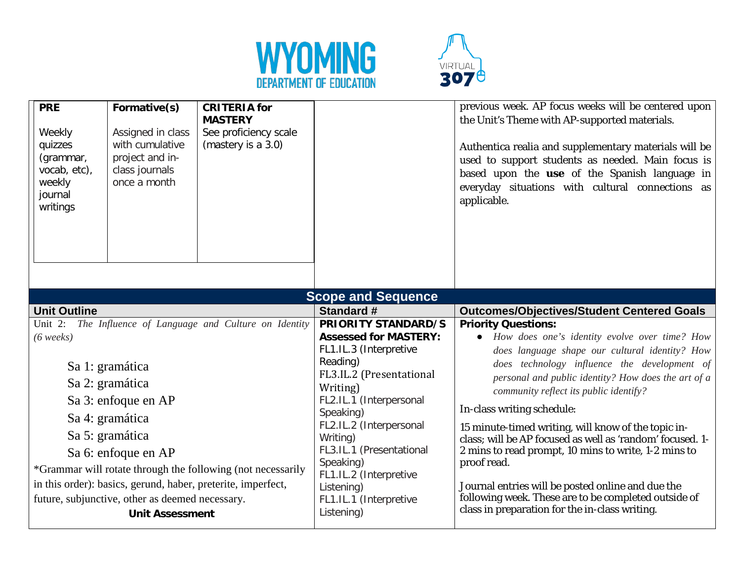



| <b>PRE</b><br>Weekly<br>quizzes<br>(grammar,<br>vocab, etc),<br>weekly<br>journal<br>writings                                                                                                                                                                                                                                                                                                                             | Formative(s)<br>Assigned in class<br>with cumulative<br>project and in-<br>class journals<br>once a month | <b>CRITERIA</b> for<br><b>MASTERY</b><br>See proficiency scale<br>(mastery is a 3.0)                                                                                                                                                                                                                                                             |                                                                                                                                                                                                                                                                                                                                                                                                                                                                                                                                                                                                                                                                          | previous week. AP focus weeks will be centered upon<br>the Unit's Theme with AP-supported materials.<br>Authentica realia and supplementary materials will be<br>used to support students as needed. Main focus is<br>based upon the use of the Spanish language in<br>everyday situations with cultural connections as<br>applicable. |
|---------------------------------------------------------------------------------------------------------------------------------------------------------------------------------------------------------------------------------------------------------------------------------------------------------------------------------------------------------------------------------------------------------------------------|-----------------------------------------------------------------------------------------------------------|--------------------------------------------------------------------------------------------------------------------------------------------------------------------------------------------------------------------------------------------------------------------------------------------------------------------------------------------------|--------------------------------------------------------------------------------------------------------------------------------------------------------------------------------------------------------------------------------------------------------------------------------------------------------------------------------------------------------------------------------------------------------------------------------------------------------------------------------------------------------------------------------------------------------------------------------------------------------------------------------------------------------------------------|----------------------------------------------------------------------------------------------------------------------------------------------------------------------------------------------------------------------------------------------------------------------------------------------------------------------------------------|
|                                                                                                                                                                                                                                                                                                                                                                                                                           |                                                                                                           |                                                                                                                                                                                                                                                                                                                                                  | <b>Scope and Sequence</b>                                                                                                                                                                                                                                                                                                                                                                                                                                                                                                                                                                                                                                                |                                                                                                                                                                                                                                                                                                                                        |
| <b>Unit Outline</b>                                                                                                                                                                                                                                                                                                                                                                                                       |                                                                                                           |                                                                                                                                                                                                                                                                                                                                                  | <b>Standard #</b>                                                                                                                                                                                                                                                                                                                                                                                                                                                                                                                                                                                                                                                        | <b>Outcomes/Objectives/Student Centered Goals</b>                                                                                                                                                                                                                                                                                      |
| The Influence of Language and Culture on Identity<br>Unit 2:<br>$(6 \text{ weeks})$<br>Sa 1: gramática<br>Sa 2: gramática<br>Sa 3: enfoque en AP<br>Sa 4: gramática<br>Sa 5: gramática<br>Sa 6: enfoque en AP<br>*Grammar will rotate through the following (not necessarily<br>in this order): basics, gerund, haber, preterite, imperfect,<br>future, subjunctive, other as deemed necessary.<br><b>Unit Assessment</b> |                                                                                                           | <b>PRIORITY STANDARD/S</b><br><b>Assessed for MASTERY:</b><br>FL1.IL.3 (Interpretive<br>Reading)<br>FL3.IL.2 (Presentational<br>Writing)<br>FL2.IL.1 (Interpersonal<br>Speaking)<br>FL2.IL.2 (Interpersonal<br>Writing)<br>FL3.IL.1 (Presentational<br>Speaking)<br>FL1.IL.2 (Interpretive<br>Listening)<br>FL1.IL.1 (Interpretive<br>Listening) | <b>Priority Questions:</b><br>• How does one's identity evolve over time? How<br>does language shape our cultural identity? How<br>does technology influence the development of<br>personal and public identity? How does the art of a<br>community reflect its public identify?<br>In-class writing schedule:<br>15 minute-timed writing, will know of the topic in-<br>class; will be AP focused as well as 'random' focused. 1-<br>2 mins to read prompt, 10 mins to write, 1-2 mins to<br>proof read.<br>Journal entries will be posted online and due the<br>following week. These are to be completed outside of<br>class in preparation for the in-class writing. |                                                                                                                                                                                                                                                                                                                                        |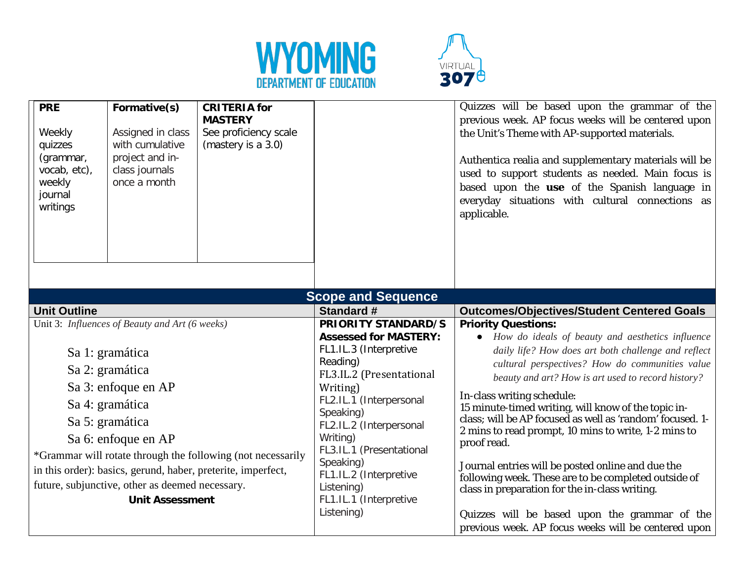



| <b>PRE</b><br>Weekly<br>quizzes<br>(grammar,<br>vocab, etc),<br>weekly<br>journal<br>writings | Formative(s)<br>Assigned in class<br>with cumulative<br>project and in-<br>class journals<br>once a month | <b>CRITERIA</b> for<br><b>MASTERY</b><br>See proficiency scale<br>(mastery is a 3.0) |                                      | Quizzes will be based upon the grammar of the<br>previous week. AP focus weeks will be centered upon<br>the Unit's Theme with AP-supported materials.<br>Authentica realia and supplementary materials will be<br>used to support students as needed. Main focus is<br>based upon the use of the Spanish language in<br>everyday situations with cultural connections as<br>applicable. |
|-----------------------------------------------------------------------------------------------|-----------------------------------------------------------------------------------------------------------|--------------------------------------------------------------------------------------|--------------------------------------|-----------------------------------------------------------------------------------------------------------------------------------------------------------------------------------------------------------------------------------------------------------------------------------------------------------------------------------------------------------------------------------------|
|                                                                                               |                                                                                                           |                                                                                      | <b>Scope and Sequence</b>            |                                                                                                                                                                                                                                                                                                                                                                                         |
| <b>Unit Outline</b>                                                                           |                                                                                                           |                                                                                      | <b>Standard #</b>                    | <b>Outcomes/Objectives/Student Centered Goals</b>                                                                                                                                                                                                                                                                                                                                       |
|                                                                                               | Unit 3: Influences of Beauty and Art (6 weeks)                                                            |                                                                                      | <b>PRIORITY STANDARD/S</b>           | <b>Priority Questions:</b>                                                                                                                                                                                                                                                                                                                                                              |
|                                                                                               |                                                                                                           |                                                                                      | <b>Assessed for MASTERY:</b>         | • How do ideals of beauty and aesthetics influence                                                                                                                                                                                                                                                                                                                                      |
| Sa 1: gramática                                                                               |                                                                                                           |                                                                                      | FL1.IL.3 (Interpretive               | daily life? How does art both challenge and reflect                                                                                                                                                                                                                                                                                                                                     |
|                                                                                               |                                                                                                           |                                                                                      | Reading)                             | cultural perspectives? How do communities value                                                                                                                                                                                                                                                                                                                                         |
| Sa 2: gramática                                                                               |                                                                                                           |                                                                                      | FL3.IL.2 (Presentational             | beauty and art? How is art used to record history?                                                                                                                                                                                                                                                                                                                                      |
|                                                                                               | Sa 3: enfoque en AP                                                                                       |                                                                                      | Writing)                             | In-class writing schedule:                                                                                                                                                                                                                                                                                                                                                              |
|                                                                                               | Sa 4: gramática                                                                                           |                                                                                      | FL2.IL.1 (Interpersonal              | 15 minute-timed writing, will know of the topic in-                                                                                                                                                                                                                                                                                                                                     |
|                                                                                               | Sa 5: gramática                                                                                           |                                                                                      | Speaking)<br>FL2.IL.2 (Interpersonal | class; will be AP focused as well as 'random' focused. 1-                                                                                                                                                                                                                                                                                                                               |
|                                                                                               |                                                                                                           |                                                                                      | Writing)                             | 2 mins to read prompt, 10 mins to write, 1-2 mins to                                                                                                                                                                                                                                                                                                                                    |
| Sa 6: enfoque en AP                                                                           |                                                                                                           |                                                                                      | FL3.IL.1 (Presentational             | proof read.                                                                                                                                                                                                                                                                                                                                                                             |
| *Grammar will rotate through the following (not necessarily                                   |                                                                                                           |                                                                                      | Speaking)                            | Journal entries will be posted online and due the                                                                                                                                                                                                                                                                                                                                       |
| in this order): basics, gerund, haber, preterite, imperfect,                                  |                                                                                                           |                                                                                      | FL1.IL.2 (Interpretive               | following week. These are to be completed outside of                                                                                                                                                                                                                                                                                                                                    |
| future, subjunctive, other as deemed necessary.                                               |                                                                                                           |                                                                                      | Listening)                           | class in preparation for the in-class writing.                                                                                                                                                                                                                                                                                                                                          |
| <b>Unit Assessment</b>                                                                        |                                                                                                           | FL1.IL.1 (Interpretive                                                               |                                      |                                                                                                                                                                                                                                                                                                                                                                                         |
|                                                                                               |                                                                                                           |                                                                                      | Listening)                           | Quizzes will be based upon the grammar of the                                                                                                                                                                                                                                                                                                                                           |
|                                                                                               |                                                                                                           |                                                                                      |                                      | previous week. AP focus weeks will be centered upon                                                                                                                                                                                                                                                                                                                                     |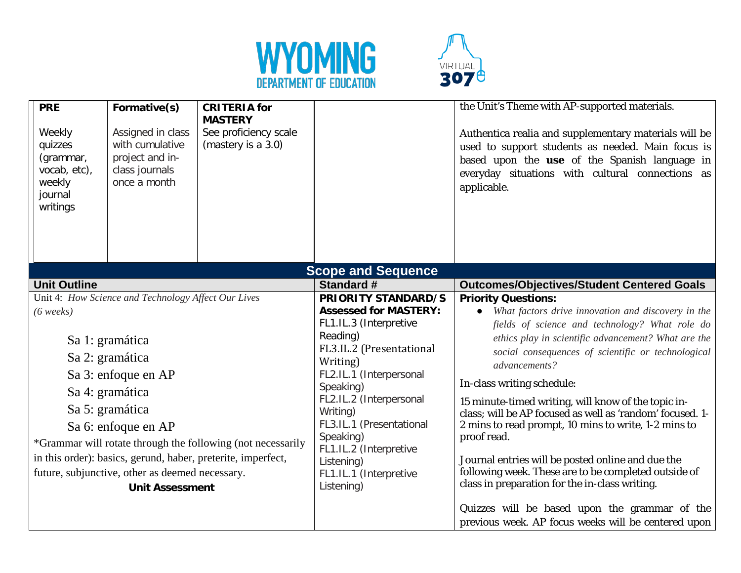



| <b>PRE</b><br>Weekly<br>quizzes<br>(grammar,<br>vocab, etc),<br>weekly<br>journal<br>writings | Formative(s)<br>Assigned in class<br>with cumulative<br>project and in-<br>class journals<br>once a month | <b>CRITERIA</b> for<br><b>MASTERY</b><br>See proficiency scale<br>(mastery is a 3.0) |                                                      | the Unit's Theme with AP-supported materials.<br>Authentica realia and supplementary materials will be<br>used to support students as needed. Main focus is<br>based upon the use of the Spanish language in<br>everyday situations with cultural connections as<br>applicable. |
|-----------------------------------------------------------------------------------------------|-----------------------------------------------------------------------------------------------------------|--------------------------------------------------------------------------------------|------------------------------------------------------|---------------------------------------------------------------------------------------------------------------------------------------------------------------------------------------------------------------------------------------------------------------------------------|
|                                                                                               |                                                                                                           |                                                                                      | <b>Scope and Sequence</b>                            |                                                                                                                                                                                                                                                                                 |
| <b>Unit Outline</b>                                                                           |                                                                                                           |                                                                                      | <b>Standard #</b>                                    | <b>Outcomes/Objectives/Student Centered Goals</b>                                                                                                                                                                                                                               |
|                                                                                               | Unit 4: How Science and Technology Affect Our Lives                                                       |                                                                                      | <b>PRIORITY STANDARD/S</b>                           | <b>Priority Questions:</b>                                                                                                                                                                                                                                                      |
| $(6 \text{ weeks})$                                                                           |                                                                                                           |                                                                                      | <b>Assessed for MASTERY:</b>                         | What factors drive innovation and discovery in the                                                                                                                                                                                                                              |
|                                                                                               |                                                                                                           |                                                                                      | FL1.IL.3 (Interpretive                               | fields of science and technology? What role do                                                                                                                                                                                                                                  |
|                                                                                               | Sa 1: gramática                                                                                           |                                                                                      | Reading)<br>FL3.IL.2 (Presentational                 | ethics play in scientific advancement? What are the                                                                                                                                                                                                                             |
| Sa 2: gramática                                                                               |                                                                                                           | Writing)                                                                             | social consequences of scientific or technological   |                                                                                                                                                                                                                                                                                 |
| Sa 3: enfoque en AP                                                                           |                                                                                                           | FL2.IL.1 (Interpersonal                                                              | advancements?                                        |                                                                                                                                                                                                                                                                                 |
|                                                                                               |                                                                                                           | Speaking)                                                                            | In-class writing schedule:                           |                                                                                                                                                                                                                                                                                 |
|                                                                                               | Sa 4: gramática                                                                                           |                                                                                      | FL2.IL.2 (Interpersonal                              | 15 minute-timed writing, will know of the topic in-                                                                                                                                                                                                                             |
|                                                                                               | Sa 5: gramática                                                                                           |                                                                                      | Writing)                                             | class; will be AP focused as well as 'random' focused. 1-                                                                                                                                                                                                                       |
| Sa 6: enfoque en AP                                                                           |                                                                                                           |                                                                                      | FL3.IL.1 (Presentational                             | 2 mins to read prompt, 10 mins to write, 1-2 mins to                                                                                                                                                                                                                            |
| *Grammar will rotate through the following (not necessarily                                   |                                                                                                           |                                                                                      | Speaking)<br>FL1.IL.2 (Interpretive                  | proof read.                                                                                                                                                                                                                                                                     |
| in this order): basics, gerund, haber, preterite, imperfect,                                  |                                                                                                           |                                                                                      | Listening)                                           | Journal entries will be posted online and due the                                                                                                                                                                                                                               |
| future, subjunctive, other as deemed necessary.                                               |                                                                                                           | FL1.IL.1 (Interpretive                                                               | following week. These are to be completed outside of |                                                                                                                                                                                                                                                                                 |
| <b>Unit Assessment</b>                                                                        |                                                                                                           | Listening)                                                                           | class in preparation for the in-class writing.       |                                                                                                                                                                                                                                                                                 |
|                                                                                               |                                                                                                           |                                                                                      |                                                      | Quizzes will be based upon the grammar of the<br>previous week. AP focus weeks will be centered upon                                                                                                                                                                            |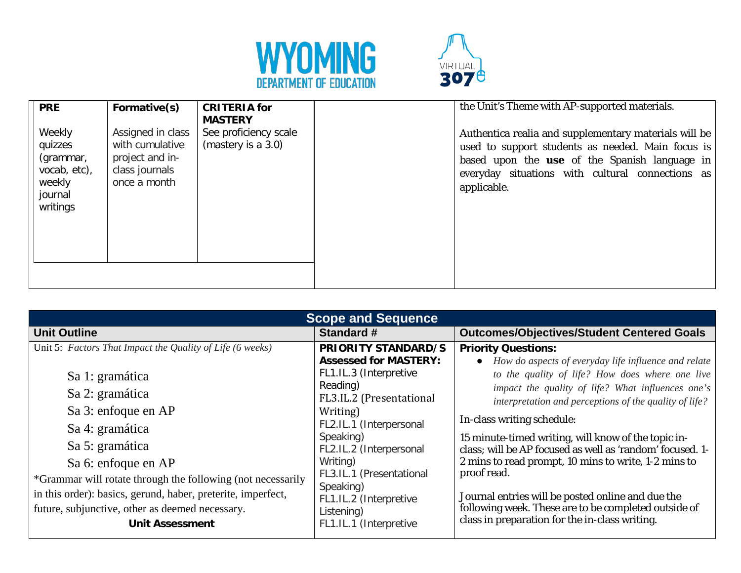



| <b>PRE</b>                                                                      | Formative(s)                                                                              | <b>CRITERIA</b> for<br><b>MASTERY</b>       | the Unit's Theme with AP-supported materials.                                                                                                                                                                                  |
|---------------------------------------------------------------------------------|-------------------------------------------------------------------------------------------|---------------------------------------------|--------------------------------------------------------------------------------------------------------------------------------------------------------------------------------------------------------------------------------|
| Weekly<br>quizzes<br>(grammar,<br>vocab, etc),<br>weekly<br>journal<br>writings | Assigned in class<br>with cumulative<br>project and in-<br>class journals<br>once a month | See proficiency scale<br>(mastery is a 3.0) | Authentica realia and supplementary materials will be<br>used to support students as needed. Main focus is<br>based upon the use of the Spanish language in<br>everyday situations with cultural connections as<br>applicable. |
|                                                                                 |                                                                                           |                                             |                                                                                                                                                                                                                                |

| <b>Scope and Sequence</b>                                                                                                                                                                                                                                                                                                                                             |                                                                                                                                                                                                                                                                                                          |                                                                                                                                                                                                                                                                                                                                                                                                                                                                                                                                                                                            |  |  |
|-----------------------------------------------------------------------------------------------------------------------------------------------------------------------------------------------------------------------------------------------------------------------------------------------------------------------------------------------------------------------|----------------------------------------------------------------------------------------------------------------------------------------------------------------------------------------------------------------------------------------------------------------------------------------------------------|--------------------------------------------------------------------------------------------------------------------------------------------------------------------------------------------------------------------------------------------------------------------------------------------------------------------------------------------------------------------------------------------------------------------------------------------------------------------------------------------------------------------------------------------------------------------------------------------|--|--|
| <b>Unit Outline</b>                                                                                                                                                                                                                                                                                                                                                   | Standard #                                                                                                                                                                                                                                                                                               | <b>Outcomes/Objectives/Student Centered Goals</b>                                                                                                                                                                                                                                                                                                                                                                                                                                                                                                                                          |  |  |
| Unit 5: Factors That Impact the Quality of Life (6 weeks)<br>Sa 1: gramática<br>Sa 2: gramática<br>Sa 3: enfoque en AP<br>Sa 4: gramática<br>Sa 5: gramática<br>Sa 6: enfoque en AP<br>*Grammar will rotate through the following (not necessarily<br>in this order): basics, gerund, haber, preterite, imperfect,<br>future, subjunctive, other as deemed necessary. | <b>PRIORITY STANDARD/S</b><br><b>Assessed for MASTERY:</b><br>FL1.IL.3 (Interpretive<br>Reading)<br>FL3.IL.2 (Presentational<br>Writing)<br>FL2.IL.1 (Interpersonal<br>Speaking)<br>FL2.IL.2 (Interpersonal<br>Writing)<br>FL3.IL.1 (Presentational<br>Speaking)<br>FL1.IL.2 (Interpretive<br>Listening) | <b>Priority Questions:</b><br>How do aspects of everyday life influence and relate<br>to the quality of life? How does where one live<br>impact the quality of life? What influences one's<br>interpretation and perceptions of the quality of life?<br>In-class writing schedule:<br>15 minute-timed writing, will know of the topic in-<br>class; will be AP focused as well as 'random' focused. 1-<br>2 mins to read prompt, 10 mins to write, 1-2 mins to<br>proof read.<br>Journal entries will be posted online and due the<br>following week. These are to be completed outside of |  |  |
| <b>Unit Assessment</b>                                                                                                                                                                                                                                                                                                                                                | FL1.IL.1 (Interpretive                                                                                                                                                                                                                                                                                   | class in preparation for the in-class writing.                                                                                                                                                                                                                                                                                                                                                                                                                                                                                                                                             |  |  |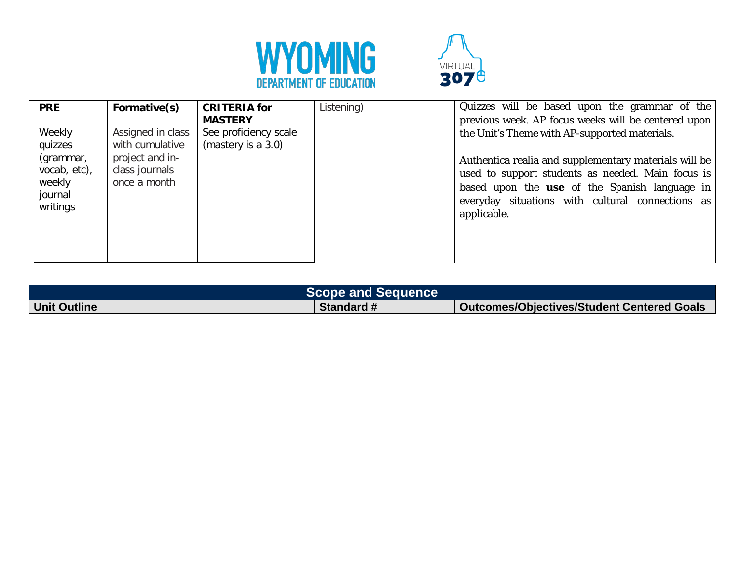



| <b>PRE</b>                                                 | Formative(s)                                      | <b>CRITERIA for</b><br><b>MASTERY</b>       | Listening) | Quizzes will be based upon the grammar of the<br>previous week. AP focus weeks will be centered upon                                                                                                                                  |
|------------------------------------------------------------|---------------------------------------------------|---------------------------------------------|------------|---------------------------------------------------------------------------------------------------------------------------------------------------------------------------------------------------------------------------------------|
| Weekly<br>quizzes                                          | Assigned in class<br>with cumulative              | See proficiency scale<br>(mastery is a 3.0) |            | the Unit's Theme with AP-supported materials.                                                                                                                                                                                         |
| (grammar,<br>vocab, etc),<br>weekly<br>journal<br>writings | project and in-<br>class journals<br>once a month |                                             |            | Authentica realia and supplementary materials will be<br>used to support students as needed. Main focus is<br>based upon the <b>use</b> of the Spanish language in<br>everyday situations with cultural connections as<br>applicable. |

|                     | <b>Scope and Sequence</b> |                                                   |
|---------------------|---------------------------|---------------------------------------------------|
| <b>Unit Outline</b> | <b>Standard #</b>         | <b>Outcomes/Objectives/Student Centered Goals</b> |